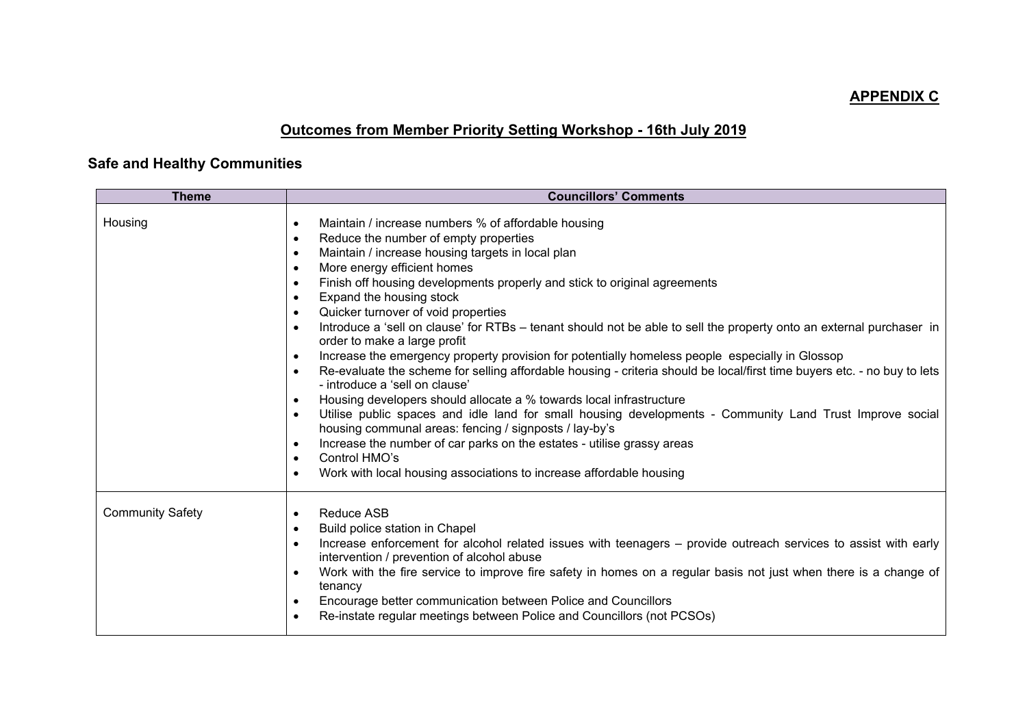# **APPENDIX C**

# **Outcomes from Member Priority Setting Workshop - 16th July 2019**

# **Safe and Healthy Communities**

| <b>Theme</b>            | <b>Councillors' Comments</b>                                                                                                                                                                                                                                                                                                                                                                                                                                                                                                                                                                                                                                                                                                                                                                                                                                                                                                                                                                                                                                                                                                                                                                                                                                                                                                                                   |
|-------------------------|----------------------------------------------------------------------------------------------------------------------------------------------------------------------------------------------------------------------------------------------------------------------------------------------------------------------------------------------------------------------------------------------------------------------------------------------------------------------------------------------------------------------------------------------------------------------------------------------------------------------------------------------------------------------------------------------------------------------------------------------------------------------------------------------------------------------------------------------------------------------------------------------------------------------------------------------------------------------------------------------------------------------------------------------------------------------------------------------------------------------------------------------------------------------------------------------------------------------------------------------------------------------------------------------------------------------------------------------------------------|
| Housing                 | Maintain / increase numbers % of affordable housing<br>$\bullet$<br>Reduce the number of empty properties<br>$\bullet$<br>Maintain / increase housing targets in local plan<br>$\bullet$<br>More energy efficient homes<br>$\bullet$<br>Finish off housing developments properly and stick to original agreements<br>$\bullet$<br>Expand the housing stock<br>$\bullet$<br>Quicker turnover of void properties<br>$\bullet$<br>Introduce a 'sell on clause' for RTBs - tenant should not be able to sell the property onto an external purchaser in<br>order to make a large profit<br>Increase the emergency property provision for potentially homeless people especially in Glossop<br>$\bullet$<br>Re-evaluate the scheme for selling affordable housing - criteria should be local/first time buyers etc. - no buy to lets<br>$\bullet$<br>- introduce a 'sell on clause'<br>Housing developers should allocate a % towards local infrastructure<br>$\bullet$<br>Utilise public spaces and idle land for small housing developments - Community Land Trust Improve social<br>$\bullet$<br>housing communal areas: fencing / signposts / lay-by's<br>Increase the number of car parks on the estates - utilise grassy areas<br>$\bullet$<br>Control HMO's<br>$\bullet$<br>Work with local housing associations to increase affordable housing<br>$\bullet$ |
| <b>Community Safety</b> | <b>Reduce ASB</b><br>$\bullet$<br>Build police station in Chapel<br>$\bullet$<br>Increase enforcement for alcohol related issues with teenagers – provide outreach services to assist with early<br>$\bullet$<br>intervention / prevention of alcohol abuse<br>Work with the fire service to improve fire safety in homes on a regular basis not just when there is a change of<br>tenancy<br>Encourage better communication between Police and Councillors<br>Re-instate regular meetings between Police and Councillors (not PCSOs)<br>$\bullet$                                                                                                                                                                                                                                                                                                                                                                                                                                                                                                                                                                                                                                                                                                                                                                                                             |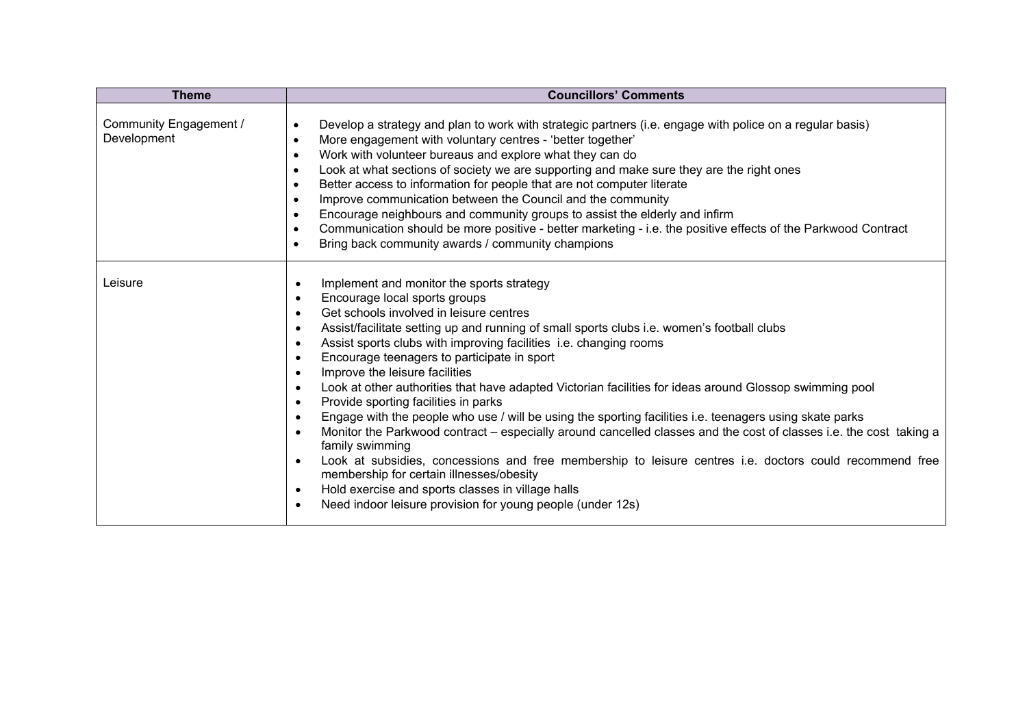| <b>Theme</b>                          | <b>Councillors' Comments</b>                                                                                                                                                                                                                                                                                                                                                                                                                                                                                                                                                                                                                                                                                                                                                                                                                                                                                                                                                                                                                                                                                                             |
|---------------------------------------|------------------------------------------------------------------------------------------------------------------------------------------------------------------------------------------------------------------------------------------------------------------------------------------------------------------------------------------------------------------------------------------------------------------------------------------------------------------------------------------------------------------------------------------------------------------------------------------------------------------------------------------------------------------------------------------------------------------------------------------------------------------------------------------------------------------------------------------------------------------------------------------------------------------------------------------------------------------------------------------------------------------------------------------------------------------------------------------------------------------------------------------|
| Community Engagement /<br>Development | Develop a strategy and plan to work with strategic partners (i.e. engage with police on a regular basis)<br>$\bullet$<br>More engagement with voluntary centres - 'better together'<br>$\bullet$<br>Work with volunteer bureaus and explore what they can do<br>$\bullet$<br>Look at what sections of society we are supporting and make sure they are the right ones<br>$\bullet$<br>Better access to information for people that are not computer literate<br>$\bullet$<br>Improve communication between the Council and the community<br>$\bullet$<br>Encourage neighbours and community groups to assist the elderly and infirm<br>$\bullet$<br>Communication should be more positive - better marketing - i.e. the positive effects of the Parkwood Contract<br>$\bullet$<br>Bring back community awards / community champions<br>$\bullet$                                                                                                                                                                                                                                                                                         |
| Leisure                               | Implement and monitor the sports strategy<br>$\bullet$<br>Encourage local sports groups<br>Get schools involved in leisure centres<br>$\bullet$<br>Assist/facilitate setting up and running of small sports clubs i.e. women's football clubs<br>$\bullet$<br>Assist sports clubs with improving facilities i.e. changing rooms<br>Encourage teenagers to participate in sport<br>Improve the leisure facilities<br>Look at other authorities that have adapted Victorian facilities for ideas around Glossop swimming pool<br>$\bullet$<br>Provide sporting facilities in parks<br>$\bullet$<br>Engage with the people who use / will be using the sporting facilities i.e. teenagers using skate parks<br>Monitor the Parkwood contract – especially around cancelled classes and the cost of classes i.e. the cost taking a<br>family swimming<br>Look at subsidies, concessions and free membership to leisure centres i.e. doctors could recommend free<br>membership for certain illnesses/obesity<br>Hold exercise and sports classes in village halls<br>$\bullet$<br>Need indoor leisure provision for young people (under 12s) |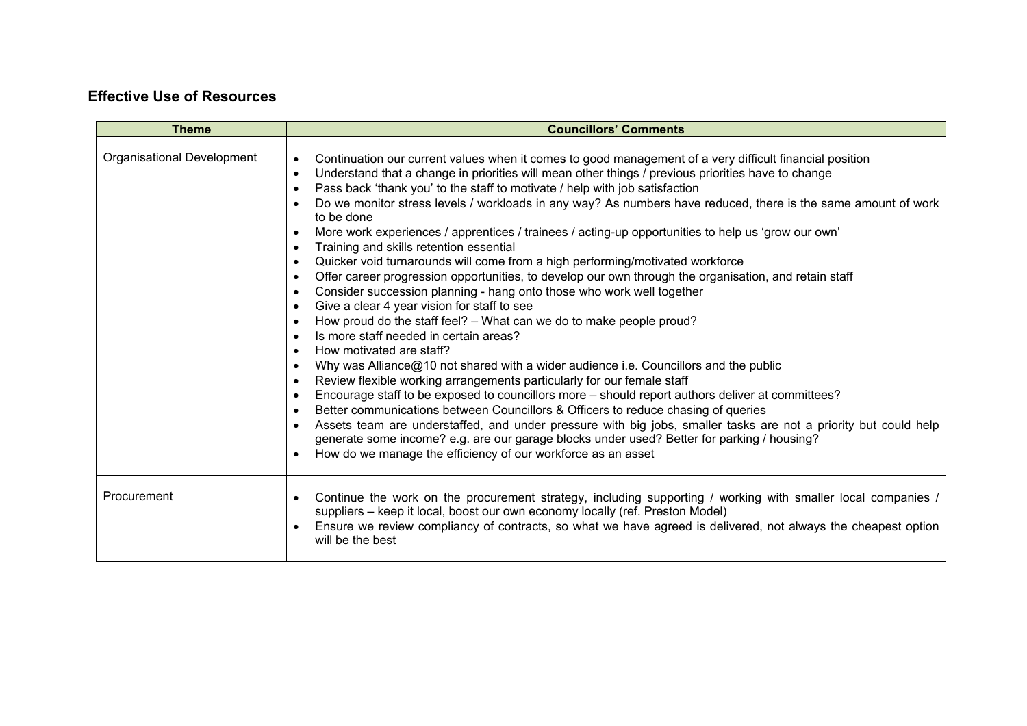## **Effective Use of Resources**

| <b>Theme</b>               | <b>Councillors' Comments</b>                                                                                                                                                                                                                                                                                                                                                                                                                                                                                                                                                                                                                                                                                                                                                                                                                                                                                                                                                                                                                                                                                                                                                                                                                                                                                                                                                                                                                                                                                                                                                                                                                                                                                                                                                                                                                                                                                                                   |
|----------------------------|------------------------------------------------------------------------------------------------------------------------------------------------------------------------------------------------------------------------------------------------------------------------------------------------------------------------------------------------------------------------------------------------------------------------------------------------------------------------------------------------------------------------------------------------------------------------------------------------------------------------------------------------------------------------------------------------------------------------------------------------------------------------------------------------------------------------------------------------------------------------------------------------------------------------------------------------------------------------------------------------------------------------------------------------------------------------------------------------------------------------------------------------------------------------------------------------------------------------------------------------------------------------------------------------------------------------------------------------------------------------------------------------------------------------------------------------------------------------------------------------------------------------------------------------------------------------------------------------------------------------------------------------------------------------------------------------------------------------------------------------------------------------------------------------------------------------------------------------------------------------------------------------------------------------------------------------|
| Organisational Development | Continuation our current values when it comes to good management of a very difficult financial position<br>$\bullet$<br>Understand that a change in priorities will mean other things / previous priorities have to change<br>$\bullet$<br>Pass back 'thank you' to the staff to motivate / help with job satisfaction<br>$\bullet$<br>Do we monitor stress levels / workloads in any way? As numbers have reduced, there is the same amount of work<br>$\bullet$<br>to be done<br>More work experiences / apprentices / trainees / acting-up opportunities to help us 'grow our own'<br>$\bullet$<br>Training and skills retention essential<br>$\bullet$<br>Quicker void turnarounds will come from a high performing/motivated workforce<br>$\bullet$<br>Offer career progression opportunities, to develop our own through the organisation, and retain staff<br>$\bullet$<br>Consider succession planning - hang onto those who work well together<br>$\bullet$<br>Give a clear 4 year vision for staff to see<br>$\bullet$<br>How proud do the staff feel? - What can we do to make people proud?<br>$\bullet$<br>Is more staff needed in certain areas?<br>$\bullet$<br>How motivated are staff?<br>$\bullet$<br>Why was Alliance@10 not shared with a wider audience i.e. Councillors and the public<br>$\bullet$<br>Review flexible working arrangements particularly for our female staff<br>$\bullet$<br>Encourage staff to be exposed to councillors more - should report authors deliver at committees?<br>$\bullet$<br>Better communications between Councillors & Officers to reduce chasing of queries<br>$\bullet$<br>Assets team are understaffed, and under pressure with big jobs, smaller tasks are not a priority but could help<br>$\bullet$<br>generate some income? e.g. are our garage blocks under used? Better for parking / housing?<br>How do we manage the efficiency of our workforce as an asset<br>$\bullet$ |
| Procurement                | Continue the work on the procurement strategy, including supporting / working with smaller local companies /<br>$\bullet$<br>suppliers - keep it local, boost our own economy locally (ref. Preston Model)<br>Ensure we review compliancy of contracts, so what we have agreed is delivered, not always the cheapest option<br>$\bullet$<br>will be the best                                                                                                                                                                                                                                                                                                                                                                                                                                                                                                                                                                                                                                                                                                                                                                                                                                                                                                                                                                                                                                                                                                                                                                                                                                                                                                                                                                                                                                                                                                                                                                                   |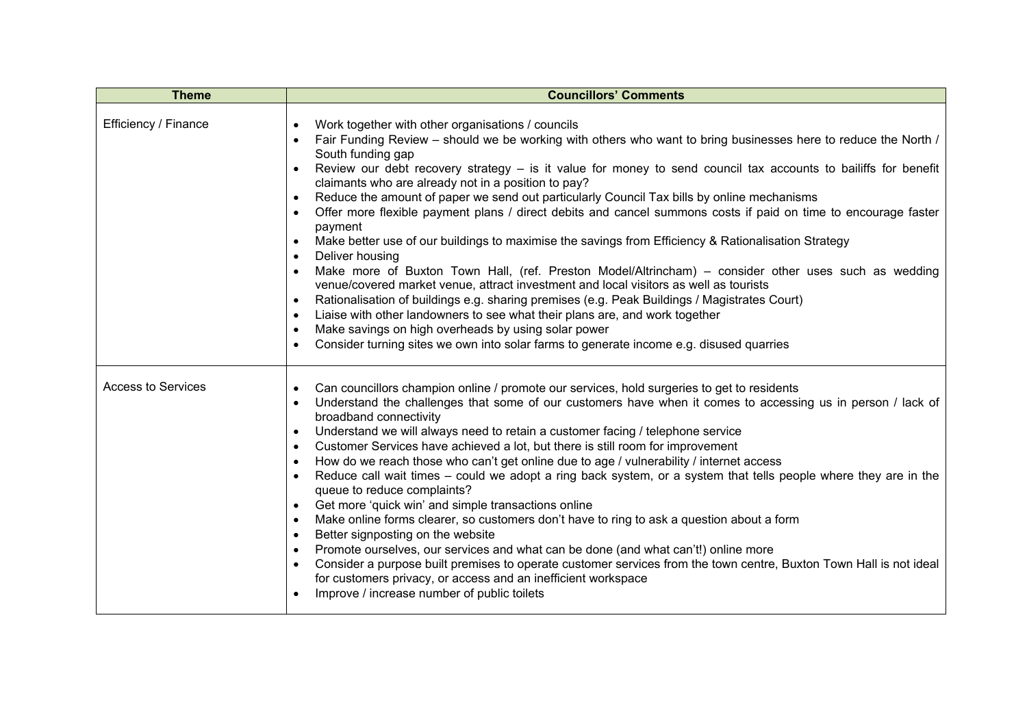| <b>Theme</b>              | <b>Councillors' Comments</b>                                                                                                                                                                                                                                                                                                                                                                                                                                                                                                                                                                                                                                                                                                                                                                                                                                                                                                                                                                                                                                                                                                                                                                                                                                                                                                                                                                              |
|---------------------------|-----------------------------------------------------------------------------------------------------------------------------------------------------------------------------------------------------------------------------------------------------------------------------------------------------------------------------------------------------------------------------------------------------------------------------------------------------------------------------------------------------------------------------------------------------------------------------------------------------------------------------------------------------------------------------------------------------------------------------------------------------------------------------------------------------------------------------------------------------------------------------------------------------------------------------------------------------------------------------------------------------------------------------------------------------------------------------------------------------------------------------------------------------------------------------------------------------------------------------------------------------------------------------------------------------------------------------------------------------------------------------------------------------------|
| Efficiency / Finance      | Work together with other organisations / councils<br>$\bullet$<br>Fair Funding Review – should we be working with others who want to bring businesses here to reduce the North /<br>South funding gap<br>Review our debt recovery strategy $-$ is it value for money to send council tax accounts to bailiffs for benefit<br>$\bullet$<br>claimants who are already not in a position to pay?<br>Reduce the amount of paper we send out particularly Council Tax bills by online mechanisms<br>$\bullet$<br>Offer more flexible payment plans / direct debits and cancel summons costs if paid on time to encourage faster<br>$\bullet$<br>payment<br>Make better use of our buildings to maximise the savings from Efficiency & Rationalisation Strategy<br>$\bullet$<br>Deliver housing<br>$\bullet$<br>Make more of Buxton Town Hall, (ref. Preston Model/Altrincham) - consider other uses such as wedding<br>$\bullet$<br>venue/covered market venue, attract investment and local visitors as well as tourists<br>Rationalisation of buildings e.g. sharing premises (e.g. Peak Buildings / Magistrates Court)<br>$\bullet$<br>Liaise with other landowners to see what their plans are, and work together<br>$\bullet$<br>Make savings on high overheads by using solar power<br>$\bullet$<br>Consider turning sites we own into solar farms to generate income e.g. disused quarries<br>$\bullet$ |
| <b>Access to Services</b> | Can councillors champion online / promote our services, hold surgeries to get to residents<br>$\bullet$<br>Understand the challenges that some of our customers have when it comes to accessing us in person / lack of<br>$\bullet$<br>broadband connectivity<br>Understand we will always need to retain a customer facing / telephone service<br>$\bullet$<br>Customer Services have achieved a lot, but there is still room for improvement<br>$\bullet$<br>How do we reach those who can't get online due to age / vulnerability / internet access<br>$\bullet$<br>Reduce call wait times – could we adopt a ring back system, or a system that tells people where they are in the<br>$\bullet$<br>queue to reduce complaints?<br>Get more 'quick win' and simple transactions online<br>$\bullet$<br>Make online forms clearer, so customers don't have to ring to ask a question about a form<br>$\bullet$<br>Better signposting on the website<br>$\bullet$<br>Promote ourselves, our services and what can be done (and what can't!) online more<br>$\bullet$<br>Consider a purpose built premises to operate customer services from the town centre, Buxton Town Hall is not ideal<br>$\bullet$<br>for customers privacy, or access and an inefficient workspace<br>Improve / increase number of public toilets                                                                                  |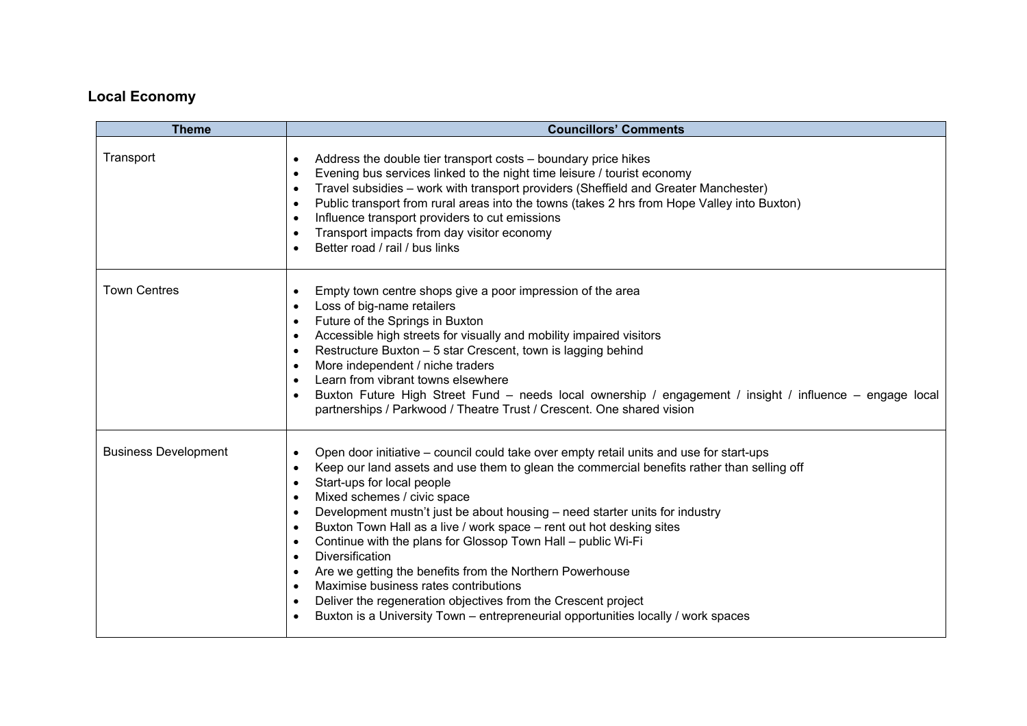# **Local Economy**

| <b>Theme</b>                | <b>Councillors' Comments</b>                                                                                                                                                                                                                                                                                                                                                                                                                                                                                                                                                                                                                                                                                                                                                                                                                                                                                               |
|-----------------------------|----------------------------------------------------------------------------------------------------------------------------------------------------------------------------------------------------------------------------------------------------------------------------------------------------------------------------------------------------------------------------------------------------------------------------------------------------------------------------------------------------------------------------------------------------------------------------------------------------------------------------------------------------------------------------------------------------------------------------------------------------------------------------------------------------------------------------------------------------------------------------------------------------------------------------|
| Transport                   | Address the double tier transport costs – boundary price hikes<br>$\bullet$<br>Evening bus services linked to the night time leisure / tourist economy<br>$\bullet$<br>Travel subsidies - work with transport providers (Sheffield and Greater Manchester)<br>$\bullet$<br>Public transport from rural areas into the towns (takes 2 hrs from Hope Valley into Buxton)<br>$\bullet$<br>Influence transport providers to cut emissions<br>$\bullet$<br>Transport impacts from day visitor economy<br>$\bullet$<br>Better road / rail / bus links<br>$\bullet$                                                                                                                                                                                                                                                                                                                                                               |
| <b>Town Centres</b>         | Empty town centre shops give a poor impression of the area<br>$\bullet$<br>Loss of big-name retailers<br>$\bullet$<br>Future of the Springs in Buxton<br>$\bullet$<br>Accessible high streets for visually and mobility impaired visitors<br>$\bullet$<br>Restructure Buxton - 5 star Crescent, town is lagging behind<br>$\bullet$<br>More independent / niche traders<br>$\bullet$<br>Learn from vibrant towns elsewhere<br>$\bullet$<br>Buxton Future High Street Fund - needs local ownership / engagement / insight / influence - engage local<br>$\bullet$<br>partnerships / Parkwood / Theatre Trust / Crescent. One shared vision                                                                                                                                                                                                                                                                                  |
| <b>Business Development</b> | Open door initiative - council could take over empty retail units and use for start-ups<br>$\bullet$<br>Keep our land assets and use them to glean the commercial benefits rather than selling off<br>$\bullet$<br>Start-ups for local people<br>$\bullet$<br>Mixed schemes / civic space<br>$\bullet$<br>Development mustn't just be about housing – need starter units for industry<br>$\bullet$<br>Buxton Town Hall as a live / work space - rent out hot desking sites<br>$\bullet$<br>Continue with the plans for Glossop Town Hall - public Wi-Fi<br>$\bullet$<br><b>Diversification</b><br>$\bullet$<br>Are we getting the benefits from the Northern Powerhouse<br>$\bullet$<br>Maximise business rates contributions<br>$\bullet$<br>Deliver the regeneration objectives from the Crescent project<br>$\bullet$<br>Buxton is a University Town – entrepreneurial opportunities locally / work spaces<br>$\bullet$ |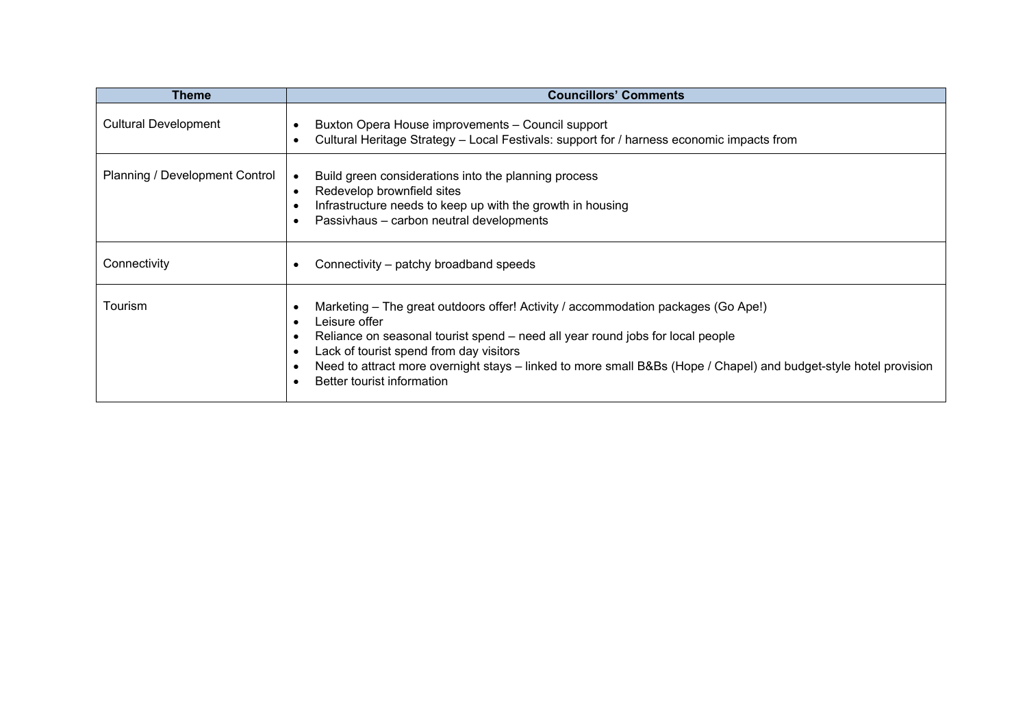| Theme                          | <b>Councillors' Comments</b>                                                                                                                                                                                                                                                                                                                                                                                                                                     |
|--------------------------------|------------------------------------------------------------------------------------------------------------------------------------------------------------------------------------------------------------------------------------------------------------------------------------------------------------------------------------------------------------------------------------------------------------------------------------------------------------------|
| <b>Cultural Development</b>    | Buxton Opera House improvements - Council support<br>$\bullet$<br>Cultural Heritage Strategy - Local Festivals: support for / harness economic impacts from<br>$\bullet$                                                                                                                                                                                                                                                                                         |
| Planning / Development Control | Build green considerations into the planning process<br>Redevelop brownfield sites<br>$\bullet$<br>Infrastructure needs to keep up with the growth in housing<br>$\bullet$<br>Passivhaus - carbon neutral developments<br>$\bullet$                                                                                                                                                                                                                              |
| Connectivity                   | Connectivity – patchy broadband speeds<br>$\bullet$                                                                                                                                                                                                                                                                                                                                                                                                              |
| Tourism                        | Marketing – The great outdoors offer! Activity / accommodation packages (Go Ape!)<br>$\bullet$<br>Leisure offer<br>$\bullet$<br>Reliance on seasonal tourist spend – need all year round jobs for local people<br>$\bullet$<br>Lack of tourist spend from day visitors<br>$\bullet$<br>Need to attract more overnight stays – linked to more small B&Bs (Hope / Chapel) and budget-style hotel provision<br>$\bullet$<br>Better tourist information<br>$\bullet$ |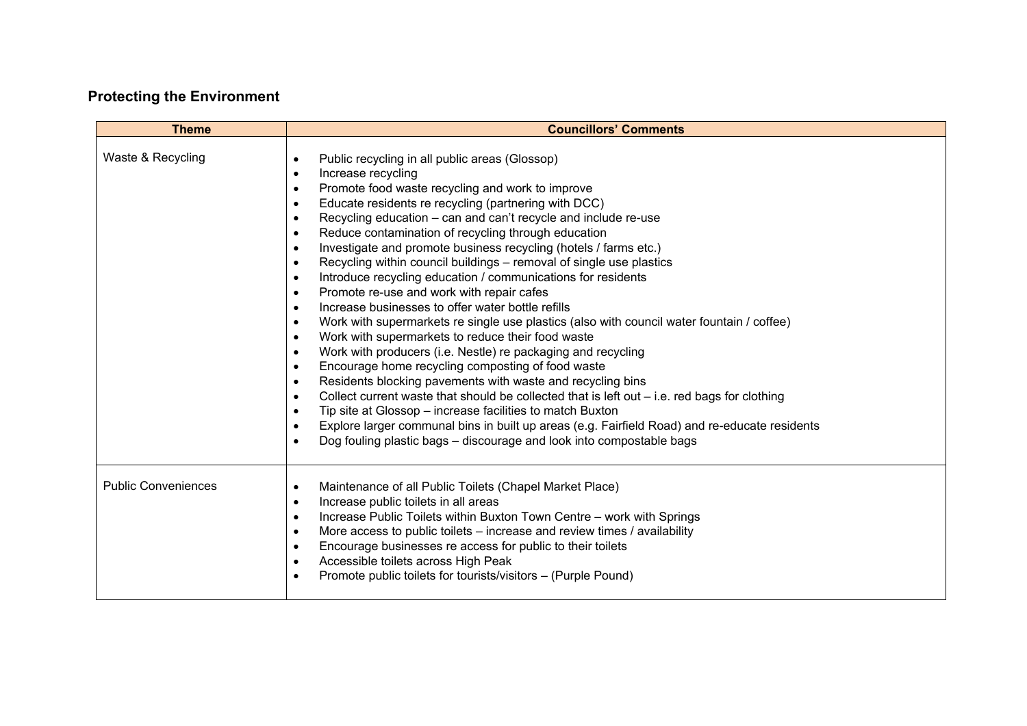# **Protecting the Environment**

| <b>Theme</b>               | <b>Councillors' Comments</b>                                                                                                                                                                                                                                                                                                                                                                                                                                                                                                                                                                                                                                                                                                                                                                                                                                                                                                                                                                                                                                                                                                                                                                                                                                                                                                                                                                                                                                                                                                                                          |
|----------------------------|-----------------------------------------------------------------------------------------------------------------------------------------------------------------------------------------------------------------------------------------------------------------------------------------------------------------------------------------------------------------------------------------------------------------------------------------------------------------------------------------------------------------------------------------------------------------------------------------------------------------------------------------------------------------------------------------------------------------------------------------------------------------------------------------------------------------------------------------------------------------------------------------------------------------------------------------------------------------------------------------------------------------------------------------------------------------------------------------------------------------------------------------------------------------------------------------------------------------------------------------------------------------------------------------------------------------------------------------------------------------------------------------------------------------------------------------------------------------------------------------------------------------------------------------------------------------------|
| Waste & Recycling          | Public recycling in all public areas (Glossop)<br>$\bullet$<br>Increase recycling<br>$\bullet$<br>Promote food waste recycling and work to improve<br>$\bullet$<br>Educate residents re recycling (partnering with DCC)<br>$\bullet$<br>Recycling education – can and can't recycle and include re-use<br>$\bullet$<br>Reduce contamination of recycling through education<br>$\bullet$<br>Investigate and promote business recycling (hotels / farms etc.)<br>$\bullet$<br>Recycling within council buildings – removal of single use plastics<br>$\bullet$<br>Introduce recycling education / communications for residents<br>$\bullet$<br>Promote re-use and work with repair cafes<br>$\bullet$<br>Increase businesses to offer water bottle refills<br>$\bullet$<br>Work with supermarkets re single use plastics (also with council water fountain / coffee)<br>$\bullet$<br>Work with supermarkets to reduce their food waste<br>$\bullet$<br>Work with producers (i.e. Nestle) re packaging and recycling<br>$\bullet$<br>Encourage home recycling composting of food waste<br>$\bullet$<br>Residents blocking pavements with waste and recycling bins<br>$\bullet$<br>Collect current waste that should be collected that is left out – i.e. red bags for clothing<br>$\bullet$<br>Tip site at Glossop – increase facilities to match Buxton<br>$\bullet$<br>Explore larger communal bins in built up areas (e.g. Fairfield Road) and re-educate residents<br>$\bullet$<br>Dog fouling plastic bags – discourage and look into compostable bags<br>$\bullet$ |
| <b>Public Conveniences</b> | Maintenance of all Public Toilets (Chapel Market Place)<br>$\bullet$<br>Increase public toilets in all areas<br>$\bullet$<br>Increase Public Toilets within Buxton Town Centre - work with Springs<br>$\bullet$<br>More access to public toilets - increase and review times / availability<br>$\bullet$<br>Encourage businesses re access for public to their toilets<br>$\bullet$<br>Accessible toilets across High Peak<br>$\bullet$<br>Promote public toilets for tourists/visitors – (Purple Pound)<br>$\bullet$                                                                                                                                                                                                                                                                                                                                                                                                                                                                                                                                                                                                                                                                                                                                                                                                                                                                                                                                                                                                                                                 |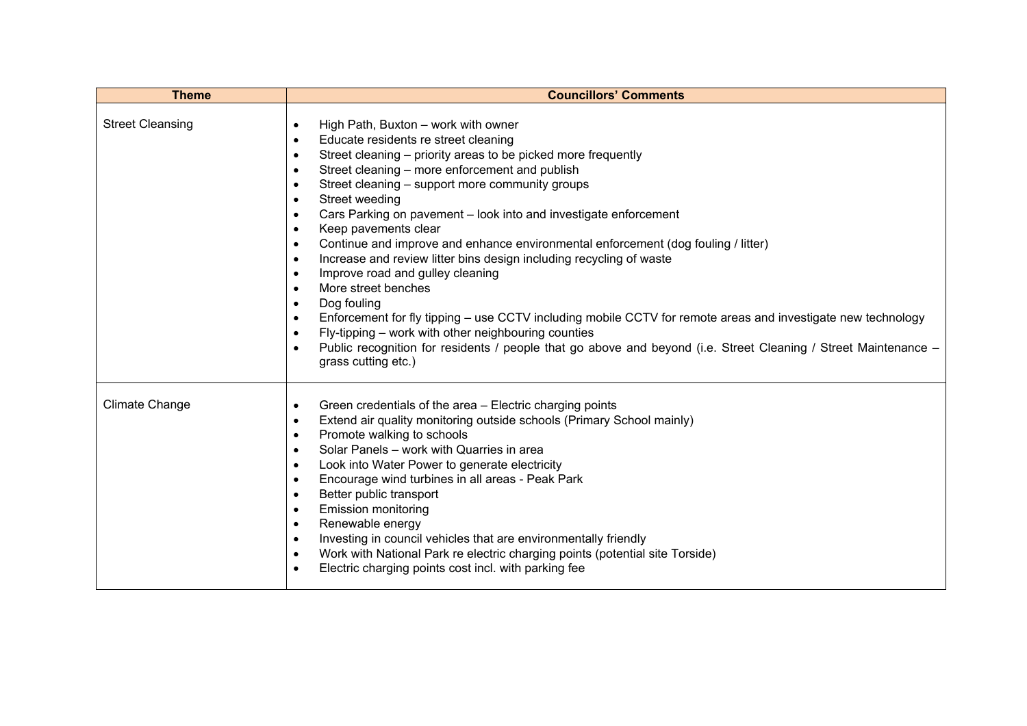| <b>Theme</b>            | <b>Councillors' Comments</b>                                                                                                                                                                                                                                                                                                                                                                                                                                                                                                                                                                                                                                                                                                                                                                                                                                                                                                                                                                                                                                                                                                           |
|-------------------------|----------------------------------------------------------------------------------------------------------------------------------------------------------------------------------------------------------------------------------------------------------------------------------------------------------------------------------------------------------------------------------------------------------------------------------------------------------------------------------------------------------------------------------------------------------------------------------------------------------------------------------------------------------------------------------------------------------------------------------------------------------------------------------------------------------------------------------------------------------------------------------------------------------------------------------------------------------------------------------------------------------------------------------------------------------------------------------------------------------------------------------------|
| <b>Street Cleansing</b> | High Path, Buxton - work with owner<br>$\bullet$<br>Educate residents re street cleaning<br>$\bullet$<br>Street cleaning – priority areas to be picked more frequently<br>$\bullet$<br>Street cleaning - more enforcement and publish<br>$\bullet$<br>Street cleaning - support more community groups<br>$\bullet$<br>Street weeding<br>$\bullet$<br>Cars Parking on pavement - look into and investigate enforcement<br>$\bullet$<br>Keep pavements clear<br>$\bullet$<br>Continue and improve and enhance environmental enforcement (dog fouling / litter)<br>$\bullet$<br>Increase and review litter bins design including recycling of waste<br>$\bullet$<br>Improve road and gulley cleaning<br>$\bullet$<br>More street benches<br>$\bullet$<br>Dog fouling<br>$\bullet$<br>Enforcement for fly tipping – use CCTV including mobile CCTV for remote areas and investigate new technology<br>$\bullet$<br>Fly-tipping – work with other neighbouring counties<br>$\bullet$<br>Public recognition for residents / people that go above and beyond (i.e. Street Cleaning / Street Maintenance -<br>$\bullet$<br>grass cutting etc.) |
| <b>Climate Change</b>   | Green credentials of the area - Electric charging points<br>$\bullet$<br>Extend air quality monitoring outside schools (Primary School mainly)<br>$\bullet$<br>Promote walking to schools<br>$\bullet$<br>Solar Panels - work with Quarries in area<br>$\bullet$<br>Look into Water Power to generate electricity<br>$\bullet$<br>Encourage wind turbines in all areas - Peak Park<br>$\bullet$<br>Better public transport<br>$\bullet$<br><b>Emission monitoring</b><br>$\bullet$<br>Renewable energy<br>$\bullet$<br>Investing in council vehicles that are environmentally friendly<br>$\bullet$<br>Work with National Park re electric charging points (potential site Torside)<br>$\bullet$<br>Electric charging points cost incl. with parking fee<br>$\bullet$                                                                                                                                                                                                                                                                                                                                                                  |